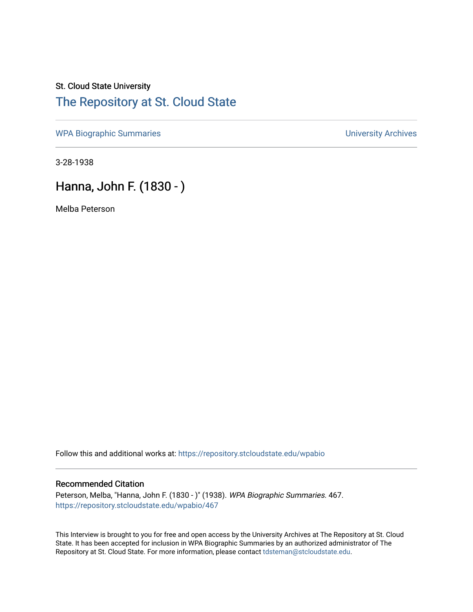## St. Cloud State University [The Repository at St. Cloud State](https://repository.stcloudstate.edu/)

[WPA Biographic Summaries](https://repository.stcloudstate.edu/wpabio) **WPA Biographic Summaries University Archives** 

3-28-1938

## Hanna, John F. (1830 - )

Melba Peterson

Follow this and additional works at: [https://repository.stcloudstate.edu/wpabio](https://repository.stcloudstate.edu/wpabio?utm_source=repository.stcloudstate.edu%2Fwpabio%2F467&utm_medium=PDF&utm_campaign=PDFCoverPages) 

## Recommended Citation

Peterson, Melba, "Hanna, John F. (1830 - )" (1938). WPA Biographic Summaries. 467. [https://repository.stcloudstate.edu/wpabio/467](https://repository.stcloudstate.edu/wpabio/467?utm_source=repository.stcloudstate.edu%2Fwpabio%2F467&utm_medium=PDF&utm_campaign=PDFCoverPages) 

This Interview is brought to you for free and open access by the University Archives at The Repository at St. Cloud State. It has been accepted for inclusion in WPA Biographic Summaries by an authorized administrator of The Repository at St. Cloud State. For more information, please contact [tdsteman@stcloudstate.edu.](mailto:tdsteman@stcloudstate.edu)